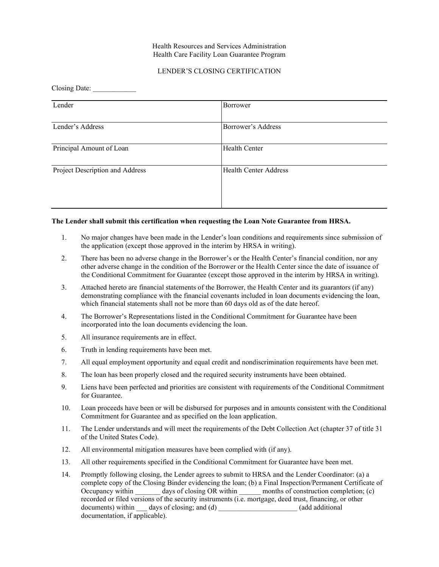### Health Resources and Services Administration Health Care Facility Loan Guarantee Program

## LENDER'S CLOSING CERTIFICATION

### Closing Date:

| Lender                          | Borrower                     |
|---------------------------------|------------------------------|
| Lender's Address                | Borrower's Address           |
| Principal Amount of Loan        | <b>Health Center</b>         |
| Project Description and Address | <b>Health Center Address</b> |

#### **The Lender shall submit this certification when requesting the Loan Note Guarantee from HRSA.**

- 1. No major changes have been made in the Lender's loan conditions and requirements since submission of the application (except those approved in the interim by HRSA in writing).
- 2. There has been no adverse change in the Borrower's or the Health Center's financial condition, nor any other adverse change in the condition of the Borrower or the Health Center since the date of issuance of the Conditional Commitment for Guarantee (except those approved in the interim by HRSA in writing).
- 3. Attached hereto are financial statements of the Borrower, the Health Center and its guarantors (if any) demonstrating compliance with the financial covenants included in loan documents evidencing the loan, which financial statements shall not be more than 60 days old as of the date hereof.
- 4. The Borrower's Representations listed in the Conditional Commitment for Guarantee have been incorporated into the loan documents evidencing the loan.
- 5. All insurance requirements are in effect.
- 6. Truth in lending requirements have been met.
- 7. All equal employment opportunity and equal credit and nondiscrimination requirements have been met.
- 8. The loan has been properly closed and the required security instruments have been obtained.
- 9. Liens have been perfected and priorities are consistent with requirements of the Conditional Commitment for Guarantee.
- 10. Loan proceeds have been or will be disbursed for purposes and in amounts consistent with the Conditional Commitment for Guarantee and as specified on the loan application.
- 11. The Lender understands and will meet the requirements of the Debt Collection Act (chapter 37 of title 31 of the United States Code).
- 12. All environmental mitigation measures have been complied with (if any).
- 13. All other requirements specified in the Conditional Commitment for Guarantee have been met.
- 14. Promptly following closing, the Lender agrees to submit to HRSA and the Lender Coordinator: (a) a complete copy of the Closing Binder evidencing the loan; (b) a Final Inspection/Permanent Certificate of Occupancy within \_\_\_\_\_\_\_ days of closing OR within \_\_\_\_\_\_\_ months of construction completion; (c) recorded or filed versions of the security instruments (i.e. mortgage, deed trust, financing, or other documents) within days of closing; and (d) (add additional documentation, if applicable).